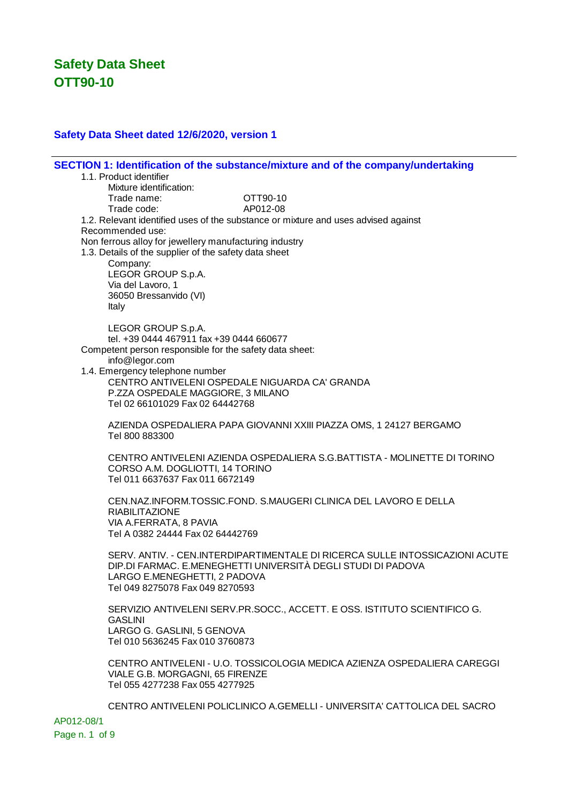#### **Safety Data Sheet dated 12/6/2020, version 1**

**SECTION 1: Identification of the substance/mixture and of the company/undertaking** 1.1. Product identifier Mixture identification: Trade name: OTT90-10 Trade code: AP012-08 1.2. Relevant identified uses of the substance or mixture and uses advised against Recommended use: Non ferrous alloy for jewellery manufacturing industry 1.3. Details of the supplier of the safety data sheet Company: LEGOR GROUP S.p.A. Via del Lavoro, 1 36050 Bressanvido (VI) Italy LEGOR GROUP S.p.A. tel. +39 0444 467911 fax +39 0444 660677 Competent person responsible for the safety data sheet: info@legor.com 1.4. Emergency telephone number CENTRO ANTIVELENI OSPEDALE NIGUARDA CA' GRANDA P.ZZA OSPEDALE MAGGIORE, 3 MILANO Tel 02 66101029 Fax 02 64442768 AZIENDA OSPEDALIERA PAPA GIOVANNI XXIII PIAZZA OMS, 1 24127 BERGAMO Tel 800 883300 CENTRO ANTIVELENI AZIENDA OSPEDALIERA S.G.BATTISTA - MOLINETTE DI TORINO CORSO A.M. DOGLIOTTI, 14 TORINO Tel 011 6637637 Fax 011 6672149 CEN.NAZ.INFORM.TOSSIC.FOND. S.MAUGERI CLINICA DEL LAVORO E DELLA RIABILITAZIONE VIA A.FERRATA, 8 PAVIA Tel A 0382 24444 Fax 02 64442769 SERV. ANTIV. - CEN.INTERDIPARTIMENTALE DI RICERCA SULLE INTOSSICAZIONI ACUTE DIP.DI FARMAC. E.MENEGHETTI UNIVERSITÀ DEGLI STUDI DI PADOVA LARGO E.MENEGHETTI, 2 PADOVA Tel 049 8275078 Fax 049 8270593 SERVIZIO ANTIVELENI SERV.PR.SOCC., ACCETT. E OSS. ISTITUTO SCIENTIFICO G. GASLINI LARGO G. GASLINI, 5 GENOVA Tel 010 5636245 Fax 010 3760873 CENTRO ANTIVELENI - U.O. TOSSICOLOGIA MEDICA AZIENZA OSPEDALIERA CAREGGI VIALE G.B. MORGAGNI, 65 FIRENZE Tel 055 4277238 Fax 055 4277925 CENTRO ANTIVELENI POLICLINICO A.GEMELLI - UNIVERSITA' CATTOLICA DEL SACRO

AP012-08/1 Page n. 1 of 9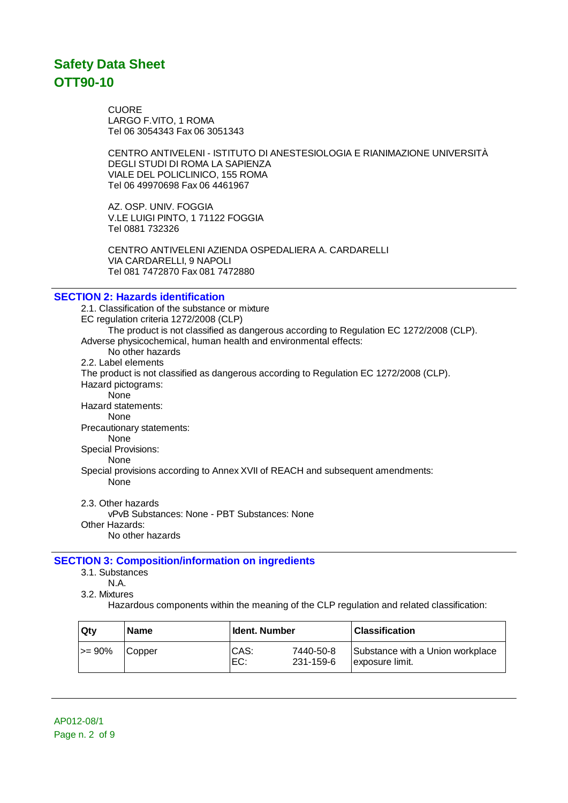CUORE LARGO F.VITO, 1 ROMA Tel 06 3054343 Fax 06 3051343

CENTRO ANTIVELENI - ISTITUTO DI ANESTESIOLOGIA E RIANIMAZIONE UNIVERSITÀ DEGLI STUDI DI ROMA LA SAPIENZA VIALE DEL POLICLINICO, 155 ROMA Tel 06 49970698 Fax 06 4461967

AZ. OSP. UNIV. FOGGIA V.LE LUIGI PINTO, 1 71122 FOGGIA Tel 0881 732326

CENTRO ANTIVELENI AZIENDA OSPEDALIERA A. CARDARELLI VIA CARDARELLI, 9 NAPOLI Tel 081 7472870 Fax 081 7472880

### **SECTION 2: Hazards identification**

2.1. Classification of the substance or mixture EC regulation criteria 1272/2008 (CLP) The product is not classified as dangerous according to Regulation EC 1272/2008 (CLP). Adverse physicochemical, human health and environmental effects: No other hazards 2.2. Label elements The product is not classified as dangerous according to Regulation EC 1272/2008 (CLP). Hazard pictograms: None Hazard statements: None Precautionary statements: None Special Provisions: None Special provisions according to Annex XVII of REACH and subsequent amendments: None 2.3. Other hazards

vPvB Substances: None - PBT Substances: None Other Hazards: No other hazards

### **SECTION 3: Composition/information on ingredients**

3.1. Substances

N.A.

3.2. Mixtures

Hazardous components within the meaning of the CLP regulation and related classification:

| Qtv       | <b>Name</b> | l Ident. Number |                        | Classification                                      |
|-----------|-------------|-----------------|------------------------|-----------------------------------------------------|
| $\ge$ 90% | Copper      | CAS:<br>⊦EC:    | 7440-50-8<br>231-159-6 | Substance with a Union workplace<br>exposure limit. |

AP012-08/1 Page n. 2 of 9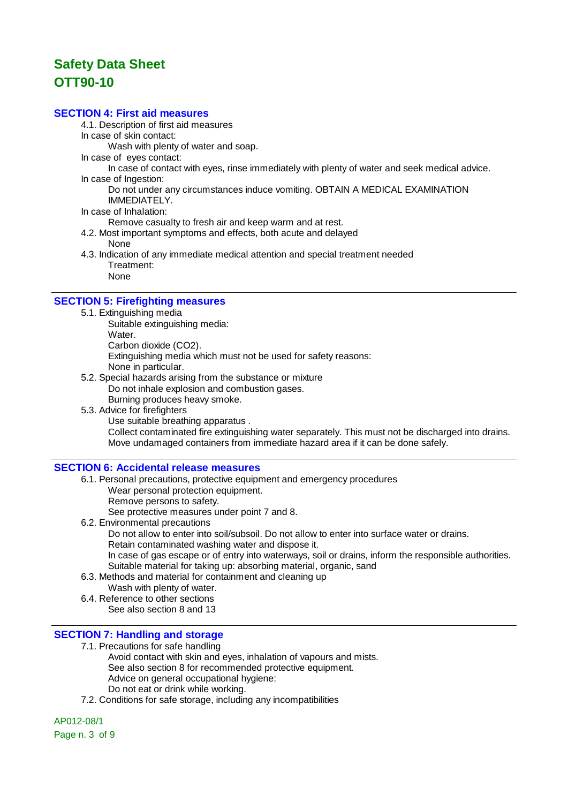### **SECTION 4: First aid measures**

4.1. Description of first aid measures

In case of skin contact:

Wash with plenty of water and soap.

In case of eyes contact:

In case of contact with eyes, rinse immediately with plenty of water and seek medical advice. In case of Ingestion:

Do not under any circumstances induce vomiting. OBTAIN A MEDICAL EXAMINATION IMMEDIATELY.

In case of Inhalation:

Remove casualty to fresh air and keep warm and at rest.

- 4.2. Most important symptoms and effects, both acute and delayed None
- 4.3. Indication of any immediate medical attention and special treatment needed Treatment:

None

### **SECTION 5: Firefighting measures**

- 5.1. Extinguishing media
	- Suitable extinguishing media: Water. Carbon dioxide (CO2). Extinguishing media which must not be used for safety reasons: None in particular. 5.2. Special hazards arising from the substance or mixture
	- Do not inhale explosion and combustion gases. Burning produces heavy smoke.
	- 5.3. Advice for firefighters

Use suitable breathing apparatus . Collect contaminated fire extinguishing water separately. This must not be discharged into drains. Move undamaged containers from immediate hazard area if it can be done safely.

#### **SECTION 6: Accidental release measures**

- 6.1. Personal precautions, protective equipment and emergency procedures Wear personal protection equipment.
	- Remove persons to safety.

See protective measures under point 7 and 8.

- 6.2. Environmental precautions
	- Do not allow to enter into soil/subsoil. Do not allow to enter into surface water or drains. Retain contaminated washing water and dispose it.
	- In case of gas escape or of entry into waterways, soil or drains, inform the responsible authorities. Suitable material for taking up: absorbing material, organic, sand
- 6.3. Methods and material for containment and cleaning up
	- Wash with plenty of water.
- 6.4. Reference to other sections See also section 8 and 13

#### **SECTION 7: Handling and storage**

7.1. Precautions for safe handling

- Avoid contact with skin and eyes, inhalation of vapours and mists. See also section 8 for recommended protective equipment. Advice on general occupational hygiene: Do not eat or drink while working.
- 7.2. Conditions for safe storage, including any incompatibilities

AP012-08/1 Page n. 3 of 9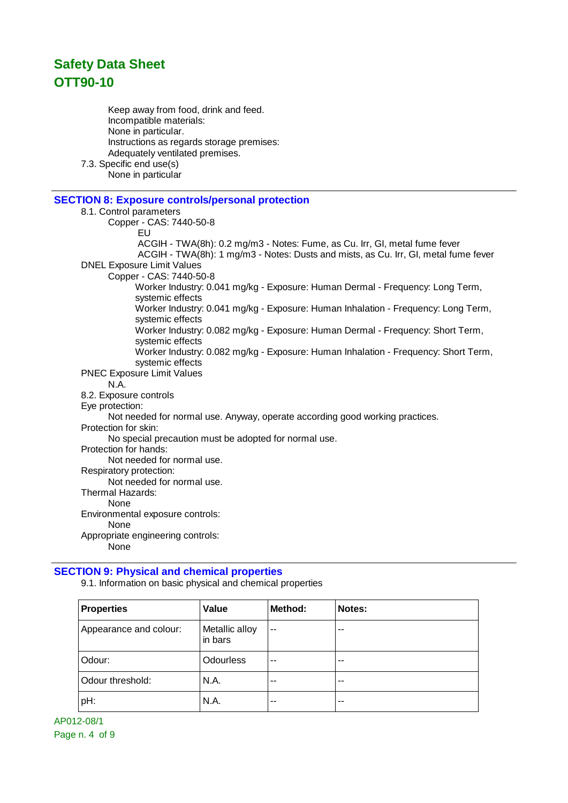Keep away from food, drink and feed. Incompatible materials: None in particular. Instructions as regards storage premises: Adequately ventilated premises. 7.3. Specific end use(s) None in particular

## **SECTION 8: Exposure controls/personal protection**

#### 8.1. Control parameters

Copper - CAS: 7440-50-8 EU ACGIH - TWA(8h): 0.2 mg/m3 - Notes: Fume, as Cu. Irr, GI, metal fume fever ACGIH - TWA(8h): 1 mg/m3 - Notes: Dusts and mists, as Cu. Irr, GI, metal fume fever DNEL Exposure Limit Values Copper - CAS: 7440-50-8 Worker Industry: 0.041 mg/kg - Exposure: Human Dermal - Frequency: Long Term, systemic effects Worker Industry: 0.041 mg/kg - Exposure: Human Inhalation - Frequency: Long Term, systemic effects Worker Industry: 0.082 mg/kg - Exposure: Human Dermal - Frequency: Short Term, systemic effects Worker Industry: 0.082 mg/kg - Exposure: Human Inhalation - Frequency: Short Term, systemic effects PNEC Exposure Limit Values N.A. 8.2. Exposure controls Eye protection: Not needed for normal use. Anyway, operate according good working practices. Protection for skin: No special precaution must be adopted for normal use. Protection for hands: Not needed for normal use. Respiratory protection: Not needed for normal use. Thermal Hazards: None Environmental exposure controls: None Appropriate engineering controls: None

#### **SECTION 9: Physical and chemical properties**

9.1. Information on basic physical and chemical properties

| <b>Properties</b>      | Value                     | Method: | Notes: |
|------------------------|---------------------------|---------|--------|
| Appearance and colour: | Metallic alloy<br>in bars | $\sim$  | --     |
| Odour:                 | <b>Odourless</b>          | $-$     | --     |
| Odour threshold:       | N.A.                      | $-$     | --     |
| pH:                    | N.A.                      | $-$     | --     |

AP012-08/1 Page n. 4 of 9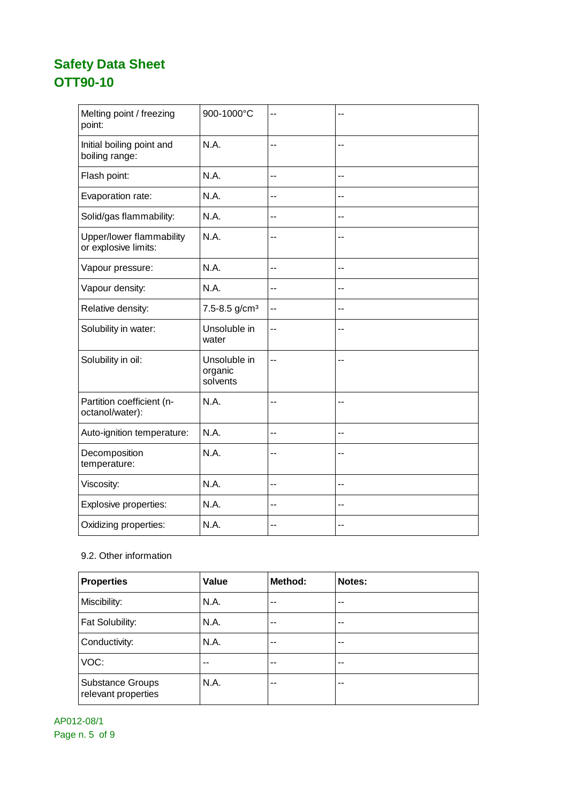| Melting point / freezing<br>point:               | 900-1000°C                          | --  | --             |
|--------------------------------------------------|-------------------------------------|-----|----------------|
| Initial boiling point and<br>boiling range:      | N.A.                                | --  | $\overline{a}$ |
| Flash point:                                     | N.A.                                | $-$ | $-$            |
| Evaporation rate:                                | N.A.                                | --  | --             |
| Solid/gas flammability:                          | N.A.                                | --  | --             |
| Upper/lower flammability<br>or explosive limits: | N.A.                                | ۰.  |                |
| Vapour pressure:                                 | N.A.                                | $-$ | --             |
| Vapour density:                                  | N.A.                                | --  | --             |
| Relative density:                                | 7.5-8.5 g/cm <sup>3</sup>           | --  | --             |
| Solubility in water:                             | Unsoluble in<br>water               | --  | --             |
| Solubility in oil:                               | Unsoluble in<br>organic<br>solvents | --  | $-$            |
| Partition coefficient (n-<br>octanol/water):     | N.A.                                | $-$ | $-$            |
| Auto-ignition temperature:                       | N.A.                                | $-$ | --             |
| Decomposition<br>temperature:                    | N.A.                                | --  | --             |
| Viscosity:                                       | N.A.                                | $-$ | $-$            |
| Explosive properties:                            | N.A.                                | --  | --             |
| Oxidizing properties:                            | N.A.                                | $-$ | --             |

## 9.2. Other information

| <b>Properties</b>                              | Value | Method: | Notes: |
|------------------------------------------------|-------|---------|--------|
| Miscibility:                                   | N.A.  | --      | --     |
| Fat Solubility:                                | N.A.  | $-$     | --     |
| Conductivity:                                  | N.A.  | $-$     | --     |
| VOC:                                           | --    | $ -$    | --     |
| <b>Substance Groups</b><br>relevant properties | N.A.  | --      | --     |

AP012-08/1 Page n. 5 of 9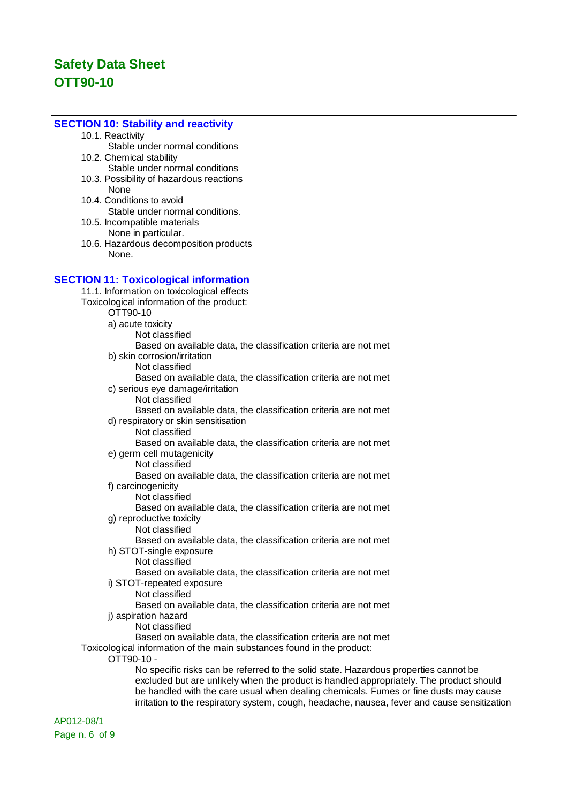### **SECTION 10: Stability and reactivity**

- 10.1. Reactivity
- Stable under normal conditions 10.2. Chemical stability
- Stable under normal conditions
- 10.3. Possibility of hazardous reactions None
- 10.4. Conditions to avoid Stable under normal conditions.
- 10.5. Incompatible materials None in particular.
- 10.6. Hazardous decomposition products None.

#### **SECTION 11: Toxicological information**

11.1. Information on toxicological effects Toxicological information of the product: OTT90-10 a) acute toxicity Not classified Based on available data, the classification criteria are not met b) skin corrosion/irritation Not classified Based on available data, the classification criteria are not met c) serious eye damage/irritation Not classified Based on available data, the classification criteria are not met d) respiratory or skin sensitisation Not classified Based on available data, the classification criteria are not met e) germ cell mutagenicity Not classified Based on available data, the classification criteria are not met f) carcinogenicity Not classified Based on available data, the classification criteria are not met g) reproductive toxicity Not classified Based on available data, the classification criteria are not met h) STOT-single exposure Not classified Based on available data, the classification criteria are not met i) STOT-repeated exposure Not classified Based on available data, the classification criteria are not met j) aspiration hazard Not classified Based on available data, the classification criteria are not met Toxicological information of the main substances found in the product: OTT90-10 - No specific risks can be referred to the solid state. Hazardous properties cannot be excluded but are unlikely when the product is handled appropriately. The product should

> be handled with the care usual when dealing chemicals. Fumes or fine dusts may cause irritation to the respiratory system, cough, headache, nausea, fever and cause sensitization

AP012-08/1 Page n. 6 of 9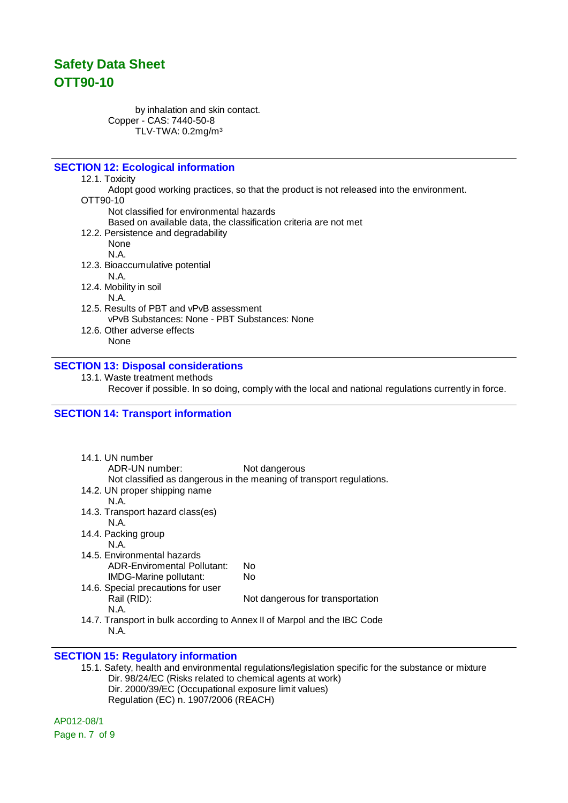by inhalation and skin contact. Copper - CAS: 7440-50-8 TLV-TWA: 0.2mg/m³

## **SECTION 12: Ecological information**

12.1. Toxicity

Adopt good working practices, so that the product is not released into the environment.

### OTT90-10

Not classified for environmental hazards

Based on available data, the classification criteria are not met

12.2. Persistence and degradability

None

- N.A. 12.3. Bioaccumulative potential
	- N.A.

12.4. Mobility in soil

#### N.A.

- 12.5. Results of PBT and vPvB assessment vPvB Substances: None - PBT Substances: None
- 12.6. Other adverse effects
	- None

#### **SECTION 13: Disposal considerations**

13.1. Waste treatment methods

Recover if possible. In so doing, comply with the local and national regulations currently in force.

#### **SECTION 14: Transport information**

| 14.1. UN number<br>ADR-UN number:                                                | Not dangerous<br>Not classified as dangerous in the meaning of transport regulations. |
|----------------------------------------------------------------------------------|---------------------------------------------------------------------------------------|
| 14.2. UN proper shipping name                                                    |                                                                                       |
| N A                                                                              |                                                                                       |
| 14.3. Transport hazard class(es)                                                 |                                                                                       |
| N A                                                                              |                                                                                       |
| 14.4. Packing group                                                              |                                                                                       |
| N.A.                                                                             |                                                                                       |
| 14.5. Environmental hazards                                                      |                                                                                       |
| ADR-Enviromental Pollutant:                                                      | N٥                                                                                    |
| IMDG-Marine pollutant:                                                           | N٥                                                                                    |
| 14.6. Special precautions for user                                               |                                                                                       |
| Rail (RID):                                                                      | Not dangerous for transportation                                                      |
| N.A.                                                                             |                                                                                       |
| 14.7. Transport in bulk according to Annex II of Marpol and the IBC Code<br>N.A. |                                                                                       |

#### **SECTION 15: Regulatory information**

15.1. Safety, health and environmental regulations/legislation specific for the substance or mixture Dir. 98/24/EC (Risks related to chemical agents at work) Dir. 2000/39/EC (Occupational exposure limit values) Regulation (EC) n. 1907/2006 (REACH)

AP012-08/1 Page n. 7 of 9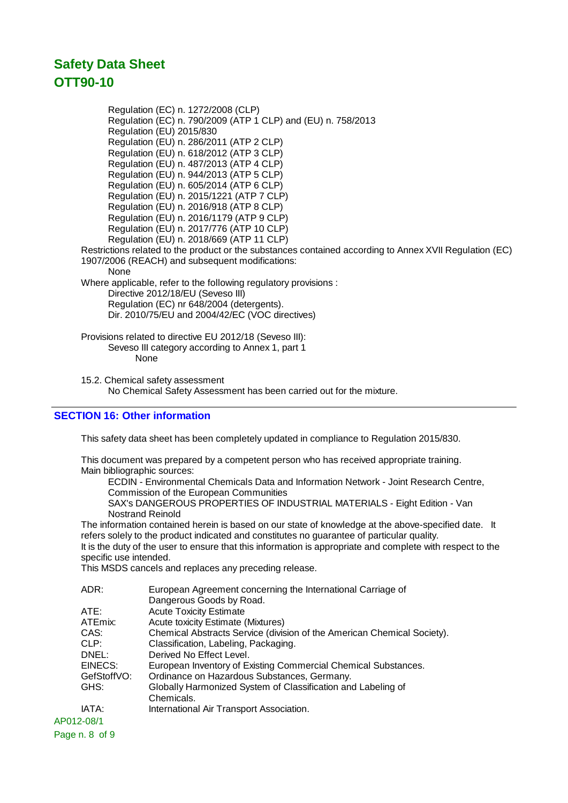Regulation (EC) n. 1272/2008 (CLP) Regulation (EC) n. 790/2009 (ATP 1 CLP) and (EU) n. 758/2013 Regulation (EU) 2015/830 Regulation (EU) n. 286/2011 (ATP 2 CLP) Regulation (EU) n. 618/2012 (ATP 3 CLP) Regulation (EU) n. 487/2013 (ATP 4 CLP) Regulation (EU) n. 944/2013 (ATP 5 CLP) Regulation (EU) n. 605/2014 (ATP 6 CLP) Regulation (EU) n. 2015/1221 (ATP 7 CLP) Regulation (EU) n. 2016/918 (ATP 8 CLP) Regulation (EU) n. 2016/1179 (ATP 9 CLP) Regulation (EU) n. 2017/776 (ATP 10 CLP) Regulation (EU) n. 2018/669 (ATP 11 CLP) Restrictions related to the product or the substances contained according to Annex XVII Regulation (EC) 1907/2006 (REACH) and subsequent modifications: **None** Where applicable, refer to the following regulatory provisions : Directive 2012/18/EU (Seveso III) Regulation (EC) nr 648/2004 (detergents). Dir. 2010/75/EU and 2004/42/EC (VOC directives) Provisions related to directive EU 2012/18 (Seveso III): Seveso III category according to Annex 1, part 1 None

15.2. Chemical safety assessment No Chemical Safety Assessment has been carried out for the mixture.

## **SECTION 16: Other information**

This safety data sheet has been completely updated in compliance to Regulation 2015/830.

This document was prepared by a competent person who has received appropriate training. Main bibliographic sources:

ECDIN - Environmental Chemicals Data and Information Network - Joint Research Centre, Commission of the European Communities

SAX's DANGEROUS PROPERTIES OF INDUSTRIAL MATERIALS - Eight Edition - Van Nostrand Reinold

The information contained herein is based on our state of knowledge at the above-specified date. It refers solely to the product indicated and constitutes no guarantee of particular quality. It is the duty of the user to ensure that this information is appropriate and complete with respect to the specific use intended.

This MSDS cancels and replaces any preceding release.

|            | ADR:        | European Agreement concerning the International Carriage of<br>Dangerous Goods by Road. |
|------------|-------------|-----------------------------------------------------------------------------------------|
|            | ATE:        | <b>Acute Toxicity Estimate</b>                                                          |
|            | ATEmix:     | <b>Acute toxicity Estimate (Mixtures)</b>                                               |
|            | CAS:        | Chemical Abstracts Service (division of the American Chemical Society).                 |
|            | CLP:        | Classification, Labeling, Packaging.                                                    |
|            | DNEL:       | Derived No Effect Level.                                                                |
|            | EINECS:     | European Inventory of Existing Commercial Chemical Substances.                          |
|            | GefStoffVO: | Ordinance on Hazardous Substances, Germany.                                             |
|            | GHS:        | Globally Harmonized System of Classification and Labeling of                            |
|            |             | Chemicals.                                                                              |
|            | IATA:       | International Air Transport Association.                                                |
| AP012-08/1 |             |                                                                                         |

Page n. 8 of 9